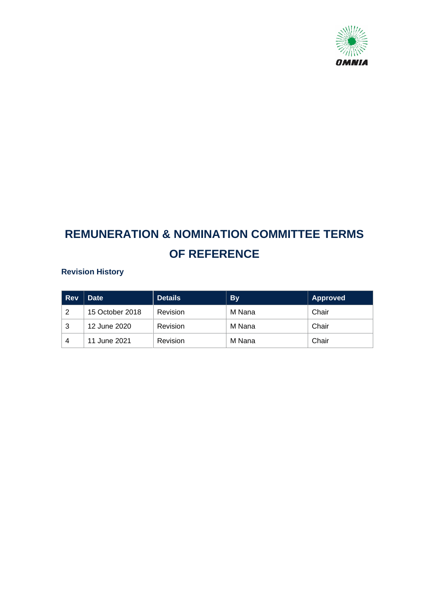

# **REMUNERATION & NOMINATION COMMITTEE TERMS OF REFERENCE**

# **Revision History**

| <b>Rev</b> | <b>Date</b>     | <b>Details</b> | <b>By</b> | Approved |
|------------|-----------------|----------------|-----------|----------|
| 2          | 15 October 2018 | Revision       | M Nana    | Chair    |
| 3          | 12 June 2020    | Revision       | M Nana    | Chair    |
| 4          | 11 June 2021    | Revision       | M Nana    | Chair    |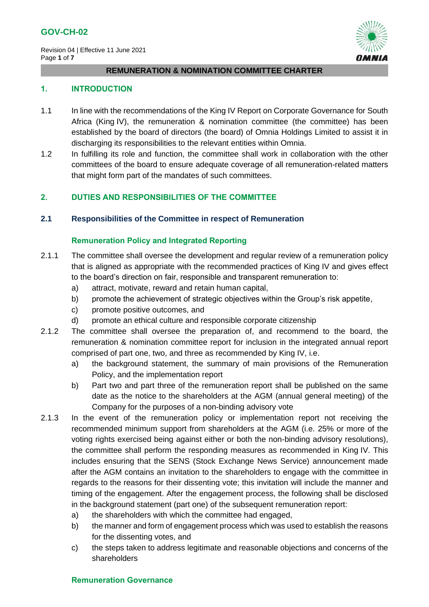Revision 04 | Effective 11 June 2021 Page **1** of **7**



#### **REMUNERATION & NOMINATION COMMITTEE CHARTER**

#### **1. INTRODUCTION**

- 1.1 In line with the recommendations of the King IV Report on Corporate Governance for South Africa (King IV), the remuneration & nomination committee (the committee) has been established by the board of directors (the board) of Omnia Holdings Limited to assist it in discharging its responsibilities to the relevant entities within Omnia.
- 1.2 In fulfilling its role and function, the committee shall work in collaboration with the other committees of the board to ensure adequate coverage of all remuneration-related matters that might form part of the mandates of such committees.

## **2. DUTIES AND RESPONSIBILITIES OF THE COMMITTEE**

#### **2.1 Responsibilities of the Committee in respect of Remuneration**

#### **Remuneration Policy and Integrated Reporting**

- 2.1.1 The committee shall oversee the development and regular review of a remuneration policy that is aligned as appropriate with the recommended practices of King IV and gives effect to the board's direction on fair, responsible and transparent remuneration to:
	- a) attract, motivate, reward and retain human capital,
	- b) promote the achievement of strategic objectives within the Group's risk appetite,
	- c) promote positive outcomes, and
	- d) promote an ethical culture and responsible corporate citizenship
- 2.1.2 The committee shall oversee the preparation of, and recommend to the board, the remuneration & nomination committee report for inclusion in the integrated annual report comprised of part one, two, and three as recommended by King IV, i.e.
	- a) the background statement, the summary of main provisions of the Remuneration Policy, and the implementation report
	- b) Part two and part three of the remuneration report shall be published on the same date as the notice to the shareholders at the AGM (annual general meeting) of the Company for the purposes of a non-binding advisory vote
- 2.1.3 In the event of the remuneration policy or implementation report not receiving the recommended minimum support from shareholders at the AGM (i.e. 25% or more of the voting rights exercised being against either or both the non-binding advisory resolutions), the committee shall perform the responding measures as recommended in King IV. This includes ensuring that the SENS (Stock Exchange News Service) announcement made after the AGM contains an invitation to the shareholders to engage with the committee in regards to the reasons for their dissenting vote; this invitation will include the manner and timing of the engagement. After the engagement process, the following shall be disclosed in the background statement (part one) of the subsequent remuneration report:
	- a) the shareholders with which the committee had engaged.
	- b) the manner and form of engagement process which was used to establish the reasons for the dissenting votes, and
	- c) the steps taken to address legitimate and reasonable objections and concerns of the shareholders

## **Remuneration Governance**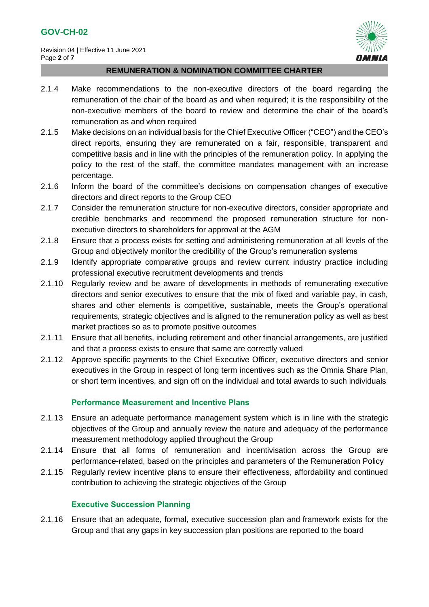

# **REMUNERATION & NOMINATION COMMITTEE CHARTER**

- 2.1.4 Make recommendations to the non-executive directors of the board regarding the remuneration of the chair of the board as and when required; it is the responsibility of the non-executive members of the board to review and determine the chair of the board's remuneration as and when required
- 2.1.5 Make decisions on an individual basis for the Chief Executive Officer ("CEO") and the CEO's direct reports, ensuring they are remunerated on a fair, responsible, transparent and competitive basis and in line with the principles of the remuneration policy. In applying the policy to the rest of the staff, the committee mandates management with an increase percentage.
- 2.1.6 Inform the board of the committee's decisions on compensation changes of executive directors and direct reports to the Group CEO
- 2.1.7 Consider the remuneration structure for non-executive directors, consider appropriate and credible benchmarks and recommend the proposed remuneration structure for nonexecutive directors to shareholders for approval at the AGM
- 2.1.8 Ensure that a process exists for setting and administering remuneration at all levels of the Group and objectively monitor the credibility of the Group's remuneration systems
- 2.1.9 Identify appropriate comparative groups and review current industry practice including professional executive recruitment developments and trends
- 2.1.10 Regularly review and be aware of developments in methods of remunerating executive directors and senior executives to ensure that the mix of fixed and variable pay, in cash, shares and other elements is competitive, sustainable, meets the Group's operational requirements, strategic objectives and is aligned to the remuneration policy as well as best market practices so as to promote positive outcomes
- 2.1.11 Ensure that all benefits, including retirement and other financial arrangements, are justified and that a process exists to ensure that same are correctly valued
- 2.1.12 Approve specific payments to the Chief Executive Officer, executive directors and senior executives in the Group in respect of long term incentives such as the Omnia Share Plan, or short term incentives, and sign off on the individual and total awards to such individuals

# **Performance Measurement and Incentive Plans**

- 2.1.13 Ensure an adequate performance management system which is in line with the strategic objectives of the Group and annually review the nature and adequacy of the performance measurement methodology applied throughout the Group
- 2.1.14 Ensure that all forms of remuneration and incentivisation across the Group are performance-related, based on the principles and parameters of the Remuneration Policy
- 2.1.15 Regularly review incentive plans to ensure their effectiveness, affordability and continued contribution to achieving the strategic objectives of the Group

# **Executive Succession Planning**

2.1.16 Ensure that an adequate, formal, executive succession plan and framework exists for the Group and that any gaps in key succession plan positions are reported to the board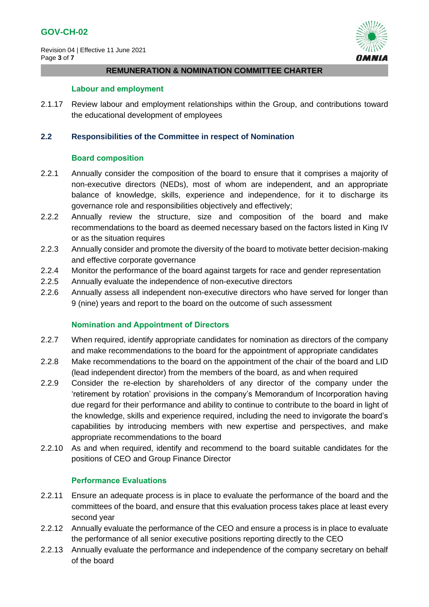Revision 04 | Effective 11 June 2021 Page **3** of **7**



#### **REMUNERATION & NOMINATION COMMITTEE CHARTER**

#### **Labour and employment**

2.1.17 Review labour and employment relationships within the Group, and contributions toward the educational development of employees

## **2.2 Responsibilities of the Committee in respect of Nomination**

# **Board composition**

- 2.2.1 Annually consider the composition of the board to ensure that it comprises a majority of non-executive directors (NEDs), most of whom are independent, and an appropriate balance of knowledge, skills, experience and independence, for it to discharge its governance role and responsibilities objectively and effectively;
- 2.2.2 Annually review the structure, size and composition of the board and make recommendations to the board as deemed necessary based on the factors listed in King IV or as the situation requires
- 2.2.3 Annually consider and promote the diversity of the board to motivate better decision-making and effective corporate governance
- 2.2.4 Monitor the performance of the board against targets for race and gender representation
- 2.2.5 Annually evaluate the independence of non-executive directors
- 2.2.6 Annually assess all independent non-executive directors who have served for longer than 9 (nine) years and report to the board on the outcome of such assessment

# **Nomination and Appointment of Directors**

- 2.2.7 When required, identify appropriate candidates for nomination as directors of the company and make recommendations to the board for the appointment of appropriate candidates
- 2.2.8 Make recommendations to the board on the appointment of the chair of the board and LID (lead independent director) from the members of the board, as and when required
- 2.2.9 Consider the re-election by shareholders of any director of the company under the 'retirement by rotation' provisions in the company's Memorandum of Incorporation having due regard for their performance and ability to continue to contribute to the board in light of the knowledge, skills and experience required, including the need to invigorate the board's capabilities by introducing members with new expertise and perspectives, and make appropriate recommendations to the board
- 2.2.10 As and when required, identify and recommend to the board suitable candidates for the positions of CEO and Group Finance Director

## **Performance Evaluations**

- 2.2.11 Ensure an adequate process is in place to evaluate the performance of the board and the committees of the board, and ensure that this evaluation process takes place at least every second year
- 2.2.12 Annually evaluate the performance of the CEO and ensure a process is in place to evaluate the performance of all senior executive positions reporting directly to the CEO
- 2.2.13 Annually evaluate the performance and independence of the company secretary on behalf of the board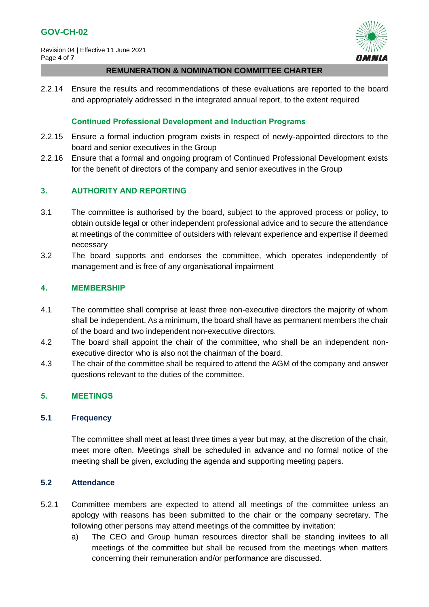Revision 04 | Effective 11 June 2021 Page **4** of **7**



#### **REMUNERATION & NOMINATION COMMITTEE CHARTER**

2.2.14 Ensure the results and recommendations of these evaluations are reported to the board and appropriately addressed in the integrated annual report, to the extent required

# **Continued Professional Development and Induction Programs**

- 2.2.15 Ensure a formal induction program exists in respect of newly-appointed directors to the board and senior executives in the Group
- 2.2.16 Ensure that a formal and ongoing program of Continued Professional Development exists for the benefit of directors of the company and senior executives in the Group

# **3. AUTHORITY AND REPORTING**

- 3.1 The committee is authorised by the board, subject to the approved process or policy, to obtain outside legal or other independent professional advice and to secure the attendance at meetings of the committee of outsiders with relevant experience and expertise if deemed necessary
- 3.2 The board supports and endorses the committee, which operates independently of management and is free of any organisational impairment

## **4. MEMBERSHIP**

- 4.1 The committee shall comprise at least three non-executive directors the majority of whom shall be independent. As a minimum, the board shall have as permanent members the chair of the board and two independent non-executive directors.
- 4.2 The board shall appoint the chair of the committee, who shall be an independent nonexecutive director who is also not the chairman of the board.
- 4.3 The chair of the committee shall be required to attend the AGM of the company and answer questions relevant to the duties of the committee.

# **5. MEETINGS**

## **5.1 Frequency**

The committee shall meet at least three times a year but may, at the discretion of the chair, meet more often. Meetings shall be scheduled in advance and no formal notice of the meeting shall be given, excluding the agenda and supporting meeting papers.

## **5.2 Attendance**

- 5.2.1 Committee members are expected to attend all meetings of the committee unless an apology with reasons has been submitted to the chair or the company secretary. The following other persons may attend meetings of the committee by invitation:
	- a) The CEO and Group human resources director shall be standing invitees to all meetings of the committee but shall be recused from the meetings when matters concerning their remuneration and/or performance are discussed.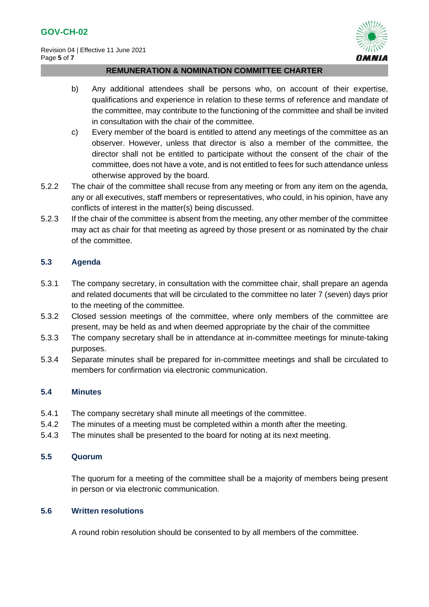

#### **REMUNERATION & NOMINATION COMMITTEE CHARTER**

- b) Any additional attendees shall be persons who, on account of their expertise, qualifications and experience in relation to these terms of reference and mandate of the committee, may contribute to the functioning of the committee and shall be invited in consultation with the chair of the committee.
- c) Every member of the board is entitled to attend any meetings of the committee as an observer. However, unless that director is also a member of the committee, the director shall not be entitled to participate without the consent of the chair of the committee, does not have a vote, and is not entitled to fees for such attendance unless otherwise approved by the board.
- 5.2.2 The chair of the committee shall recuse from any meeting or from any item on the agenda, any or all executives, staff members or representatives, who could, in his opinion, have any conflicts of interest in the matter(s) being discussed.
- 5.2.3 If the chair of the committee is absent from the meeting, any other member of the committee may act as chair for that meeting as agreed by those present or as nominated by the chair of the committee.

# **5.3 Agenda**

- 5.3.1 The company secretary, in consultation with the committee chair, shall prepare an agenda and related documents that will be circulated to the committee no later 7 (seven) days prior to the meeting of the committee.
- 5.3.2 Closed session meetings of the committee, where only members of the committee are present, may be held as and when deemed appropriate by the chair of the committee
- 5.3.3 The company secretary shall be in attendance at in-committee meetings for minute-taking purposes.
- 5.3.4 Separate minutes shall be prepared for in-committee meetings and shall be circulated to members for confirmation via electronic communication.

# **5.4 Minutes**

- 5.4.1 The company secretary shall minute all meetings of the committee.
- 5.4.2 The minutes of a meeting must be completed within a month after the meeting.
- 5.4.3 The minutes shall be presented to the board for noting at its next meeting.

# **5.5 Quorum**

The quorum for a meeting of the committee shall be a majority of members being present in person or via electronic communication.

# **5.6 Written resolutions**

A round robin resolution should be consented to by all members of the committee.